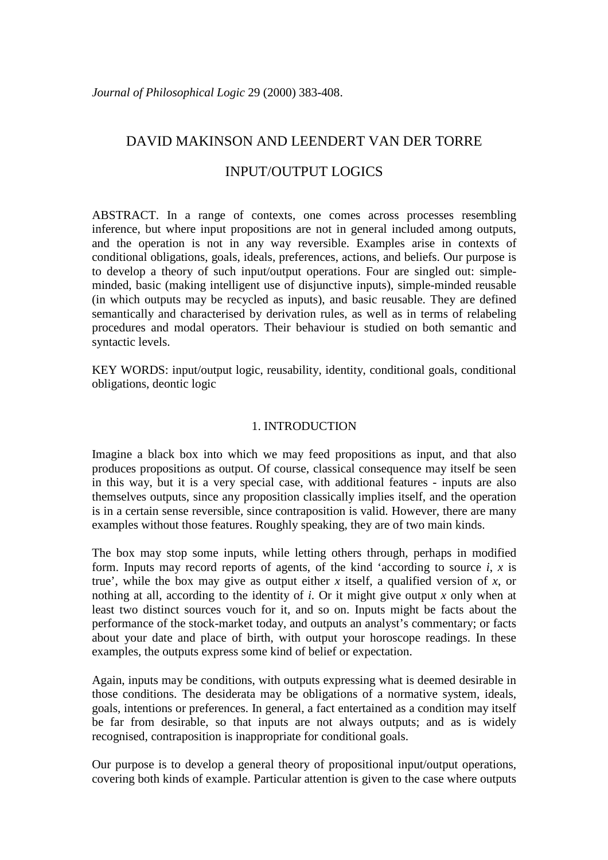# DAVID MAKINSON AND LEENDERT VAN DER TORRE

# INPUT/OUTPUT LOGICS

ABSTRACT. In a range of contexts, one comes across processes resembling inference, but where input propositions are not in general included among outputs, and the operation is not in any way reversible. Examples arise in contexts of conditional obligations, goals, ideals, preferences, actions, and beliefs. Our purpose is to develop a theory of such input/output operations. Four are singled out: simpleminded, basic (making intelligent use of disjunctive inputs), simple-minded reusable (in which outputs may be recycled as inputs), and basic reusable. They are defined semantically and characterised by derivation rules, as well as in terms of relabeling procedures and modal operators. Their behaviour is studied on both semantic and syntactic levels.

KEY WORDS: input/output logic, reusability, identity, conditional goals, conditional obligations, deontic logic

# 1. INTRODUCTION

Imagine a black box into which we may feed propositions as input, and that also produces propositions as output. Of course, classical consequence may itself be seen in this way, but it is a very special case, with additional features - inputs are also themselves outputs, since any proposition classically implies itself, and the operation is in a certain sense reversible, since contraposition is valid. However, there are many examples without those features. Roughly speaking, they are of two main kinds.

The box may stop some inputs, while letting others through, perhaps in modified form. Inputs may record reports of agents, of the kind 'according to source *i*, *x* is true', while the box may give as output either *x* itself, a qualified version of *x*, or nothing at all, according to the identity of *i*. Or it might give output *x* only when at least two distinct sources vouch for it, and so on. Inputs might be facts about the performance of the stock-market today, and outputs an analyst's commentary; or facts about your date and place of birth, with output your horoscope readings. In these examples, the outputs express some kind of belief or expectation.

Again, inputs may be conditions, with outputs expressing what is deemed desirable in those conditions. The desiderata may be obligations of a normative system, ideals, goals, intentions or preferences. In general, a fact entertained as a condition may itself be far from desirable, so that inputs are not always outputs; and as is widely recognised, contraposition is inappropriate for conditional goals.

Our purpose is to develop a general theory of propositional input/output operations, covering both kinds of example. Particular attention is given to the case where outputs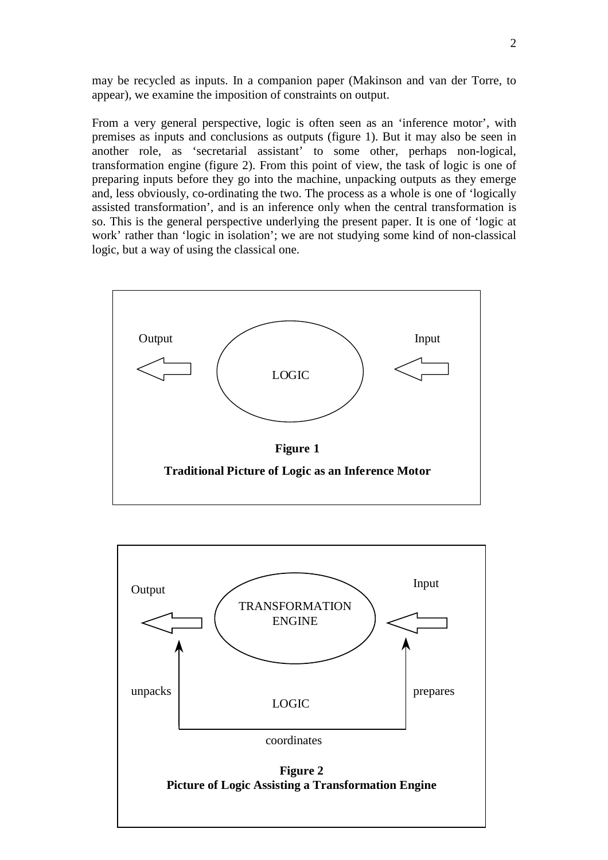may be recycled as inputs. In a companion paper (Makinson and van der Torre, to appear), we examine the imposition of constraints on output.

From a very general perspective, logic is often seen as an 'inference motor', with premises as inputs and conclusions as outputs (figure 1). But it may also be seen in another role, as 'secretarial assistant' to some other, perhaps non-logical, transformation engine (figure 2). From this point of view, the task of logic is one of preparing inputs before they go into the machine, unpacking outputs as they emerge and, less obviously, co-ordinating the two. The process as a whole is one of 'logically assisted transformation', and is an inference only when the central transformation is so. This is the general perspective underlying the present paper. It is one of 'logic at work' rather than 'logic in isolation'; we are not studying some kind of non-classical logic, but a way of using the classical one.



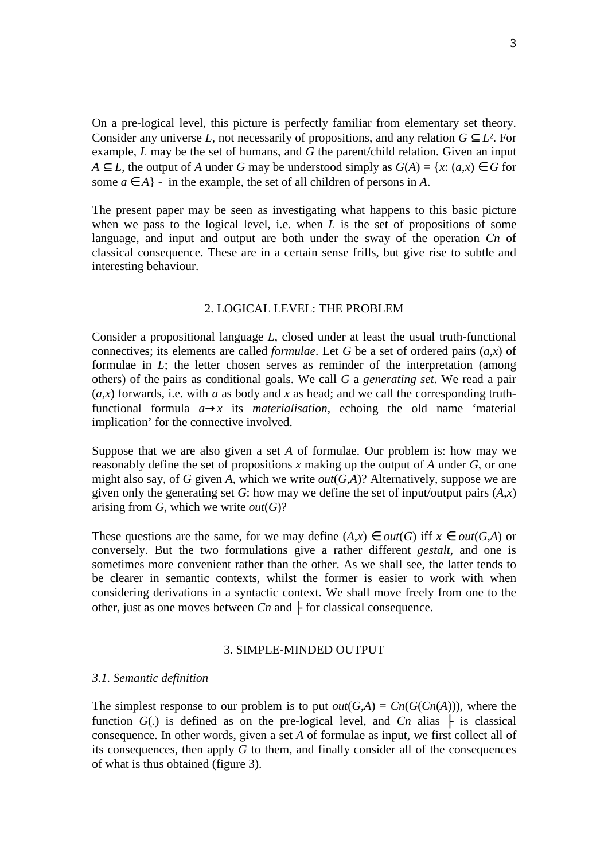On a pre-logical level, this picture is perfectly familiar from elementary set theory. Consider any universe *L*, not necessarily of propositions, and any relation  $G \subset L^2$ . For example, *L* may be the set of humans, and *G* the parent/child relation. Given an input *A* ⊂ *L*, the output of *A* under *G* may be understood simply as  $G(A) = \{x : (a,x) \in G \}$  for some  $a \in A$  - in the example, the set of all children of persons in *A*.

The present paper may be seen as investigating what happens to this basic picture when we pass to the logical level, i.e. when *L* is the set of propositions of some language, and input and output are both under the sway of the operation *Cn* of classical consequence. These are in a certain sense frills, but give rise to subtle and interesting behaviour.

# 2. LOGICAL LEVEL: THE PROBLEM

Consider a propositional language *L*, closed under at least the usual truth-functional connectives; its elements are called *formulae*. Let *G* be a set of ordered pairs (*a*,*x*) of formulae in *L*; the letter chosen serves as reminder of the interpretation (among others) of the pairs as conditional goals. We call *G* a *generating set*. We read a pair  $(a,x)$  forwards, i.e. with *a* as body and *x* as head; and we call the corresponding truthfunctional formula  $a \rightarrow x$  its *materialisation*, echoing the old name 'material implication' for the connective involved.

Suppose that we are also given a set *A* of formulae. Our problem is: how may we reasonably define the set of propositions *x* making up the output of *A* under *G*, or one might also say, of *G* given *A*, which we write *out*(*G,A*)? Alternatively, suppose we are given only the generating set *G*: how may we define the set of input/output pairs  $(A,x)$ arising from  $G$ , which we write  $out(G)$ ?

These questions are the same, for we may define  $(A,x) \in out(G)$  iff  $x \in out(G,A)$  or conversely. But the two formulations give a rather different *gestalt*, and one is sometimes more convenient rather than the other. As we shall see, the latter tends to be clearer in semantic contexts, whilst the former is easier to work with when considering derivations in a syntactic context. We shall move freely from one to the other, just as one moves between  $C_n$  and  $\vdash$  for classical consequence.

#### 3. SIMPLE-MINDED OUTPUT

#### *3.1. Semantic definition*

The simplest response to our problem is to put  $out(G,A) = Cn(G(Cn(A)))$ , where the function  $G(.)$  is defined as on the pre-logical level, and  $C_n$  alias  $\vdash$  is classical consequence. In other words, given a set *A* of formulae as input, we first collect all of its consequences, then apply *G* to them, and finally consider all of the consequences of what is thus obtained (figure 3).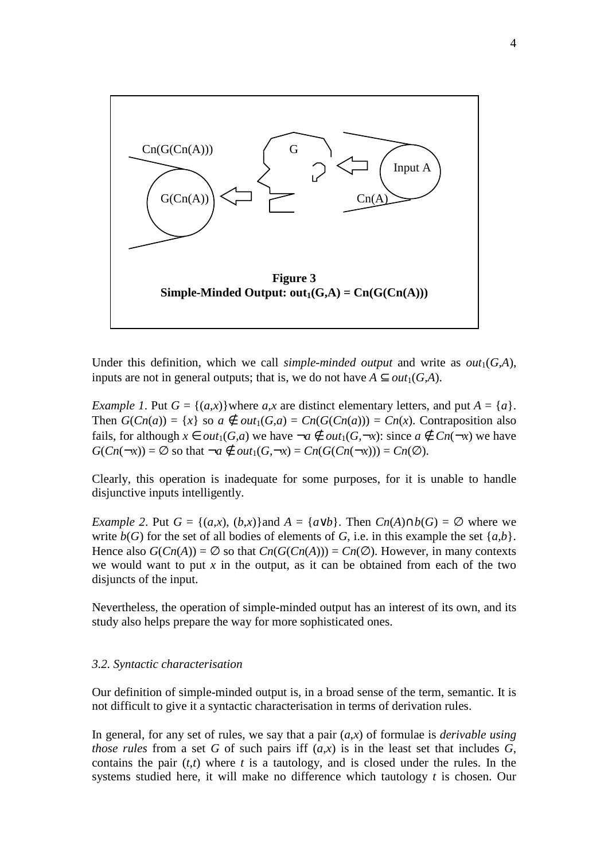

Under this definition, which we call *simple-minded output* and write as  $out_1(G,A)$ , inputs are not in general outputs; that is, we do not have  $A \subset out_1(G,A)$ .

*Example 1*. Put  $G = \{(a,x)\}$  where  $a,x$  are distinct elementary letters, and put  $A = \{a\}$ . Then  $G(Cn(a)) = \{x\}$  so  $a \notin out_1(G,a) = Cn(G(Cn(a))) = Cn(x)$ . Contraposition also fails, for although  $x \in out_1(G,a)$  we have  $\neg a \notin out_1(G,\neg x)$ : since  $a \notin Cn(\neg x)$  we have  $G(Cn(-x)) = \emptyset$  so that  $\neg a \notin out_1(G, \neg x) = Cn(G(Cn(-x))) = Cn(\emptyset)$ .

Clearly, this operation is inadequate for some purposes, for it is unable to handle disjunctive inputs intelligently.

*Example 2.* Put  $G = \{(a,x), (b,x)\}$ and  $A = \{a \lor b\}$ . Then  $Cn(A) \cap b(G) = \emptyset$  where we write  $b(G)$  for the set of all bodies of elements of *G*, i.e. in this example the set  $\{a,b\}$ . Hence also  $G(Cn(A)) = \emptyset$  so that  $Cn(G(Cn(A))) = Cn(\emptyset)$ . However, in many contexts we would want to put  $x$  in the output, as it can be obtained from each of the two disjuncts of the input.

Nevertheless, the operation of simple-minded output has an interest of its own, and its study also helps prepare the way for more sophisticated ones.

#### *3.2. Syntactic characterisation*

Our definition of simple-minded output is, in a broad sense of the term, semantic. It is not difficult to give it a syntactic characterisation in terms of derivation rules.

In general, for any set of rules, we say that a pair (*a*,*x*) of formulae is *derivable using those rules* from a set *G* of such pairs iff  $(a,x)$  is in the least set that includes *G*, contains the pair  $(t,t)$  where  $t$  is a tautology, and is closed under the rules. In the systems studied here, it will make no difference which tautology *t* is chosen. Our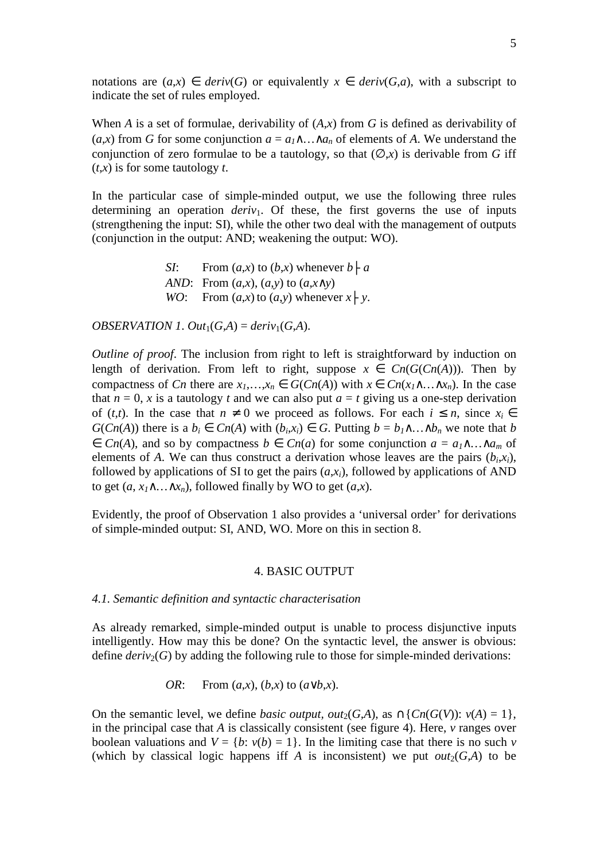notations are  $(a,x) \in deriv(G)$  or equivalently  $x \in deriv(G,a)$ , with a subscript to indicate the set of rules employed.

When *A* is a set of formulae, derivability of (*A*,*x*) from *G* is defined as derivability of  $(a,x)$  from *G* for some conjunction  $a = a_1 \wedge \ldots \wedge a_n$  of elements of *A*. We understand the conjunction of zero formulae to be a tautology, so that  $(\emptyset, x)$  is derivable from G iff (*t*,*x*) is for some tautology *t*.

In the particular case of simple-minded output, we use the following three rules determining an operation *deriv*<sub>1</sub>. Of these, the first governs the use of inputs (strengthening the input: SI), while the other two deal with the management of outputs (conjunction in the output: AND; weakening the output: WO).

> *SI*: From  $(a, x)$  to  $(b, x)$  whenever  $b \nmid a$ *AND*: From (*a*,*x*), (*a*,*y*) to (*a*,*x*∧*y*) *WO*: From  $(a, x)$  to  $(a, y)$  whenever  $x \nightharpoonup y$ .

*OBSERVATION 1. Out*<sub>1</sub>( $G$ , $A$ ) = *deriv*<sub>1</sub>( $G$ , $A$ ).

*Outline of proof*. The inclusion from right to left is straightforward by induction on length of derivation. From left to right, suppose  $x \in C_n(G(C_n(A)))$ . Then by compactness of *Cn* there are  $x_1, ..., x_n \in G(Cn(A))$  with  $x \in Cn(x_1 \wedge ... \wedge x_n)$ . In the case that  $n = 0$ , x is a tautology t and we can also put  $a = t$  giving us a one-step derivation of (*t*,*t*). In the case that  $n \neq 0$  we proceed as follows. For each  $i \leq n$ , since  $x_i \in$ *G*(*Cn*(*A*)) there is a *b<sub>i</sub>* ∈ *Cn*(*A*) with (*b<sub>i</sub>*,*x<sub>i</sub>*) ∈ *G*. Putting *b* = *b*<sub>*1*</sub>∧…∧*b<sub>n</sub>* we note that *b*  $\in$  *Cn*(*A*), and so by compactness *b*  $\in$  *Cn*(*a*) for some conjunction *a* = *a*<sub>1</sub>∧…∧*a*<sub>*m*</sub> of elements of *A*. We can thus construct a derivation whose leaves are the pairs  $(b_i, x_i)$ , followed by applications of SI to get the pairs  $(a, x_i)$ , followed by applications of AND to get  $(a, x_1 \wedge \ldots \wedge x_n)$ , followed finally by WO to get  $(a,x)$ .

Evidently, the proof of Observation 1 also provides a 'universal order' for derivations of simple-minded output: SI, AND, WO. More on this in section 8.

### 4. BASIC OUTPUT

### *4.1. Semantic definition and syntactic characterisation*

As already remarked, simple-minded output is unable to process disjunctive inputs intelligently. How may this be done? On the syntactic level, the answer is obvious: define  $deriv_2(G)$  by adding the following rule to those for simple-minded derivations:

OR: From 
$$
(a,x)
$$
,  $(b,x)$  to  $(a \lor b,x)$ .

On the semantic level, we define *basic output, out*<sub>2</sub>(*G,A*), as  $\cap$ {*Cn*(*G*(*V*)): *v*(*A*) = 1}, in the principal case that *A* is classically consistent (see figure 4). Here, *v* ranges over boolean valuations and  $V = \{b: v(b) = 1\}$ . In the limiting case that there is no such *v* (which by classical logic happens iff A is inconsistent) we put  $out_2(G,A)$  to be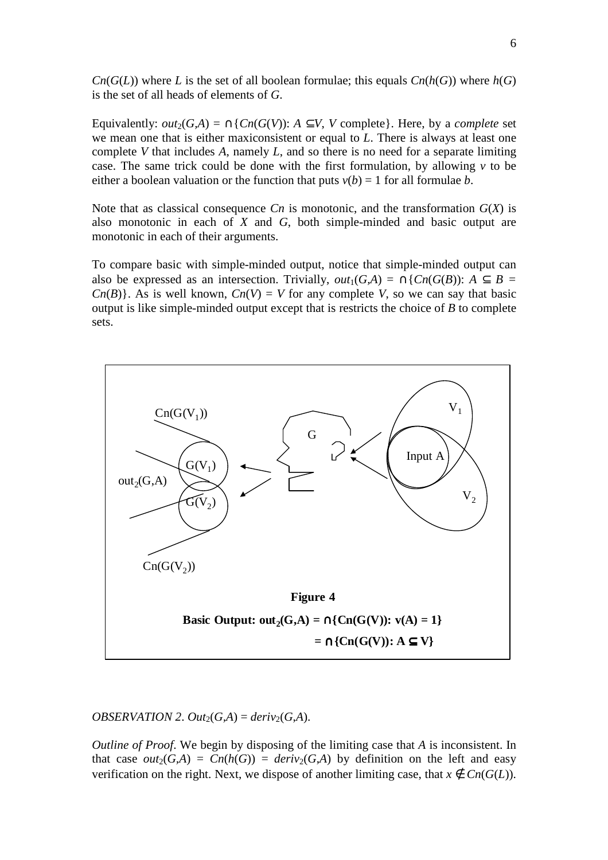$Cn(G(L))$  where *L* is the set of all boolean formulae; this equals  $Cn(h(G))$  where  $h(G)$ is the set of all heads of elements of *G*.

Equivalently:  $out_2(G,A) = \bigcap \{Cn(G(V)) : A \subseteq V, V \text{ complete} \}.$  Here, by a *complete* set we mean one that is either maxiconsistent or equal to *L*. There is always at least one complete *V* that includes *A*, namely *L*, and so there is no need for a separate limiting case. The same trick could be done with the first formulation, by allowing *v* to be either a boolean valuation or the function that puts  $v(b) = 1$  for all formulae *b*.

Note that as classical consequence  $C_n$  is monotonic, and the transformation  $G(X)$  is also monotonic in each of *X* and *G*, both simple-minded and basic output are monotonic in each of their arguments.

To compare basic with simple-minded output, notice that simple-minded output can also be expressed as an intersection. Trivially,  $out_1(G,A) = \bigcap \{Cn(G(B)) : A \subset B = \emptyset\}$  $Cn(B)$ . As is well known,  $Cn(V) = V$  for any complete *V*, so we can say that basic output is like simple-minded output except that is restricts the choice of *B* to complete sets.



## *OBSERVATION 2. Out*<sub>2</sub>(*G,A*) = *deriv*<sub>2</sub>(*G,A*).

*Outline of Proof*. We begin by disposing of the limiting case that *A* is inconsistent. In that case  $out_2(G,A) = Cn(h(G)) = deriv_2(G,A)$  by definition on the left and easy verification on the right. Next, we dispose of another limiting case, that  $x \notin C_n(G(L))$ .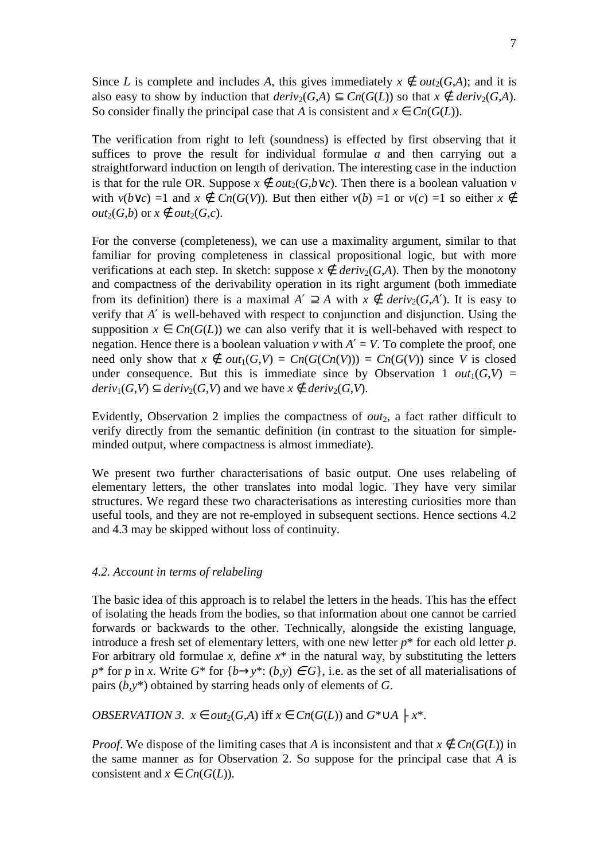Since *L* is complete and includes *A*, this gives immediately  $x \notin out_2(G,A)$ ; and it is also easy to show by induction that  $deriv_2(G,A) \subset Cn(G(L))$  so that  $x \notin deriv_2(G,A)$ . So consider finally the principal case that *A* is consistent and  $x \in Cn(G(L))$ .

The verification from right to left (soundness) is effected by first observing that it suffices to prove the result for individual formulae *a* and then carrying out a straightforward induction on length of derivation. The interesting case in the induction is that for the rule OR. Suppose  $x \notin out_2(G, b \lor c)$ . Then there is a boolean valuation *v* with  $v(b \vee c) = 1$  and  $x \notin Cn(G(V))$ . But then either  $v(b) = 1$  or  $v(c) = 1$  so either  $x \notin Cn(G(V))$ . *out*<sub>2</sub>(*G,b*) or  $x \notin out_2(G,c)$ .

For the converse (completeness), we can use a maximality argument, similar to that familiar for proving completeness in classical propositional logic, but with more verifications at each step. In sketch: suppose  $x \notin$  *deriv*<sub>2</sub>(*G*,*A*). Then by the monotony and compactness of the derivability operation in its right argument (both immediate from its definition) there is a maximal  $A' \supseteq A$  with  $x \notin$  *deriv*<sub>2</sub>(*G*,*A*'). It is easy to verify that *A*′ is well-behaved with respect to conjunction and disjunction. Using the supposition  $x \in Cn(G(L))$  we can also verify that it is well-behaved with respect to negation. Hence there is a boolean valuation  $\nu$  with  $A' = V$ . To complete the proof, one need only show that  $x \notin out_1(G, V) = Cn(G(Cn(V))) = Cn(G(V))$  since *V* is closed under consequence. But this is immediate since by Observation 1  $out_1(G, V)$  =  $deriv_1(G, V) \subset deriv_2(G, V)$  and we have  $x \notin deriv_2(G, V)$ .

Evidently, Observation 2 implies the compactness of  $out_2$ , a fact rather difficult to verify directly from the semantic definition (in contrast to the situation for simpleminded output, where compactness is almost immediate).

We present two further characterisations of basic output. One uses relabeling of elementary letters, the other translates into modal logic. They have very similar structures. We regard these two characterisations as interesting curiosities more than useful tools, and they are not re-employed in subsequent sections. Hence sections 4.2 and 4.3 may be skipped without loss of continuity.

#### *4.2. Account in terms of relabeling*

The basic idea of this approach is to relabel the letters in the heads. This has the effect of isolating the heads from the bodies, so that information about one cannot be carried forwards or backwards to the other. Technically, alongside the existing language, introduce a fresh set of elementary letters, with one new letter *p*\* for each old letter *p*. For arbitrary old formulae *x*, define  $x^*$  in the natural way, by substituting the letters  $p^*$  for *p* in *x*. Write  $G^*$  for  $\{b \rightarrow y^*: (b, y) \in G\}$ , i.e. as the set of all materialisations of pairs (*b*,*y*\*) obtained by starring heads only of elements of *G*.

*OBSERVATION 3.*  $x \in out_2(G,A)$  iff  $x \in Cn(G(L))$  and  $G^* \cup A \nmid x^*$ .

*Proof.* We dispose of the limiting cases that *A* is inconsistent and that  $x \notin Cn(G(L))$  in the same manner as for Observation 2. So suppose for the principal case that *A* is consistent and  $x \in Cn(G(L))$ .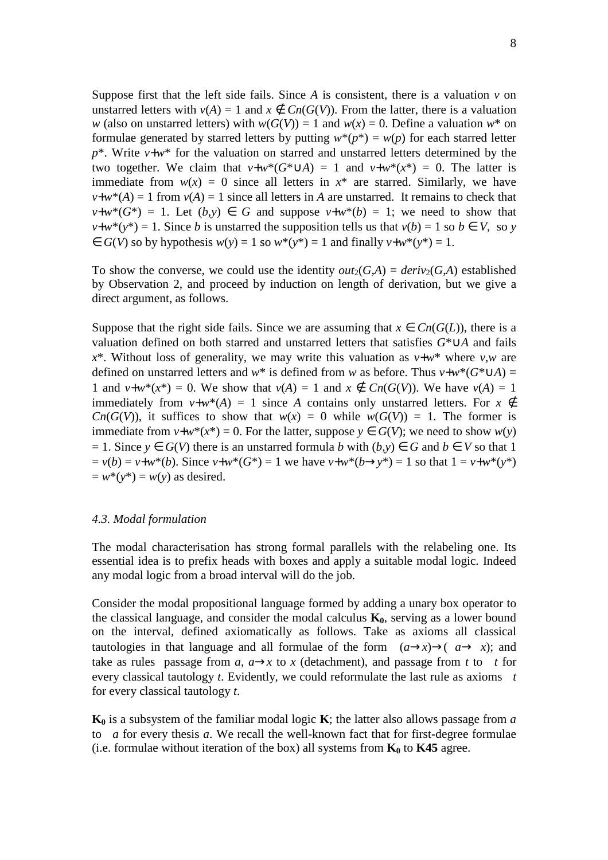Suppose first that the left side fails. Since  $A$  is consistent, there is a valuation  $v$  on unstarred letters with  $v(A) = 1$  and  $x \notin Cn(G(V))$ . From the latter, there is a valuation *w* (also on unstarred letters) with  $w(G(V)) = 1$  and  $w(x) = 0$ . Define a valuation  $w^*$  on formulae generated by starred letters by putting  $w^*(p^*) = w(p)$  for each starred letter  $p^*$ . Write  $v+w^*$  for the valuation on starred and unstarred letters determined by the two together. We claim that  $v+w*(G^* \cup A) = 1$  and  $v+w*(x^*) = 0$ . The latter is immediate from  $w(x) = 0$  since all letters in  $x^*$  are starred. Similarly, we have  $v+w^*(A) = 1$  from  $v(A) = 1$  since all letters in *A* are unstarred. It remains to check that  $v+w*(G^*) = 1$ . Let  $(b,y) \in G$  and suppose  $v+w*(b) = 1$ ; we need to show that  $v+w^*(y^*) = 1$ . Since *b* is unstarred the supposition tells us that  $v(b) = 1$  so  $b \in V$ , so *y*  $\in G(V)$  so by hypothesis  $w(v) = 1$  so  $w^*(v^*) = 1$  and finally  $v + w^*(v^*) = 1$ .

To show the converse, we could use the identity  $out_2(G,A) = deriv_2(G,A)$  established by Observation 2, and proceed by induction on length of derivation, but we give a direct argument, as follows.

Suppose that the right side fails. Since we are assuming that  $x \in Cn(G(L))$ , there is a valuation defined on both starred and unstarred letters that satisfies *G*\*∪*A* and fails  $x^*$ . Without loss of generality, we may write this valuation as  $v+w^*$  where  $v,w$  are defined on unstarred letters and *w*<sup>\*</sup> is defined from *w* as before. Thus *v*+*w*<sup>\*</sup>( $G^* \cup A$ ) = 1 and  $v+w^*(x^*) = 0$ . We show that  $v(A) = 1$  and  $x \notin C_n(G(V))$ . We have  $v(A) = 1$ immediately from  $v+w^*(A) = 1$  since *A* contains only unstarred letters. For  $x \notin$ *Cn*( $G(V)$ ), it suffices to show that  $w(x) = 0$  while  $w(G(V)) = 1$ . The former is immediate from  $v+w^*(x^*)=0$ . For the latter, suppose  $y \in G(V)$ ; we need to show  $w(y)$  $= 1$ . Since *y* ∈ *G*(*V*) there is an unstarred formula *b* with  $(b, y)$  ∈ *G* and *b* ∈ *V* so that 1  $v = v(b) = v + w^{*}(b)$ . Since  $v + w^{*}(G^{*}) = 1$  we have  $v + w^{*}(b \rightarrow y^{*}) = 1$  so that  $1 = v + w^{*}(y^{*})$  $= w^*(v^*) = w(v)$  as desired.

### *4.3. Modal formulation*

The modal characterisation has strong formal parallels with the relabeling one. Its essential idea is to prefix heads with boxes and apply a suitable modal logic. Indeed any modal logic from a broad interval will do the job.

Consider the modal propositional language formed by adding a unary box operator to the classical language, and consider the modal calculus  $K_0$ , serving as a lower bound on the interval, defined axiomatically as follows. Take as axioms all classical tautologies in that language and all formulae of the form  $(a \rightarrow x) \rightarrow (a \rightarrow x)$ ; and take as rules passage from  $a$ ,  $a \rightarrow x$  to *x* (detachment), and passage from *t* to *t* for every classical tautology *t*. Evidently, we could reformulate the last rule as axioms *t* for every classical tautology *t*.

**K0** is a subsystem of the familiar modal logic **K**; the latter also allows passage from *a* to *a* for every thesis *a*. We recall the well-known fact that for first-degree formulae (i.e. formulae without iteration of the box) all systems from  $K_0$  to  $K45$  agree.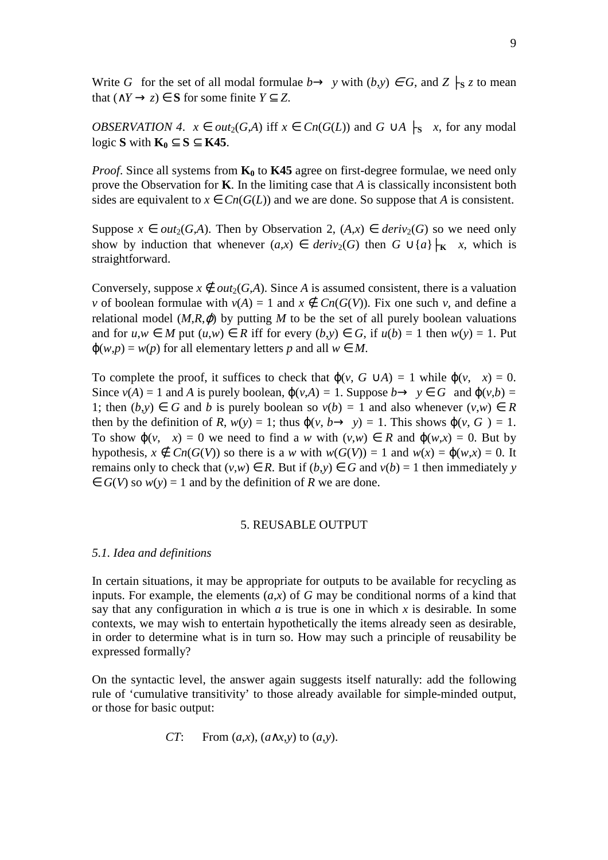Write *G* for the set of all modal formulae  $b \rightarrow y$  with  $(b, y) \in G$ , and  $Z \mid S \neq z$  to mean that  $(∧Y → z) ∈ S$  for some finite  $Y ⊂ Z$ .

*OBSERVATION 4.*  $x \in out_2(G,A)$  iff  $x \in Cn(G(L))$  and  $G \cup A \mid s \neq x$ , for any modal logic **S** with  $\mathbf{K}_0$  ⊂ **S** ⊂ **K45**.

*Proof*. Since all systems from **K0** to **K45** agree on first-degree formulae, we need only prove the Observation for **K**. In the limiting case that *A* is classically inconsistent both sides are equivalent to  $x \in Cn(G(L))$  and we are done. So suppose that *A* is consistent.

Suppose  $x \in out_2(G,A)$ . Then by Observation 2,  $(A,x) \in deriv_2(G)$  so we need only show by induction that whenever  $(a, x) \in$  *deriv*<sub>2</sub>(*G*) then  $G \cup \{a\} \mid_{\mathbf{K}} x$ , which is straightforward.

Conversely, suppose  $x \notin out_2(G,A)$ . Since *A* is assumed consistent, there is a valuation *v* of boolean formulae with  $v(A) = 1$  and  $x \notin Cn(G(V))$ . Fix one such *v*, and define a relational model  $(M,R,\varphi)$  by putting *M* to be the set of all purely boolean valuations and for  $u, w \in M$  put  $(u, w) \in R$  iff for every  $(b, y) \in G$ , if  $u(b) = 1$  then  $w(y) = 1$ . Put  $\varphi(w, p) = w(p)$  for all elementary letters *p* and all  $w \in M$ .

To complete the proof, it suffices to check that  $\varphi(v, G \cup A) = 1$  while  $\varphi(v, x) = 0$ . Since  $v(A) = 1$  and *A* is purely boolean,  $\varphi(v, A) = 1$ . Suppose  $b \rightarrow y \in G$  and  $\varphi(v, b) = 1$ 1; then  $(b,y) \in G$  and *b* is purely boolean so  $v(b) = 1$  and also whenever  $(v,w) \in R$ then by the definition of *R*,  $w(y) = 1$ ; thus  $\varphi(v, b \rightarrow y) = 1$ . This shows  $\varphi(v, G) = 1$ . To show  $\varphi(v, x) = 0$  we need to find a *w* with  $(v, w) \in R$  and  $\varphi(w, x) = 0$ . But by hypothesis,  $x \notin C_n(G(V))$  so there is a *w* with  $w(G(V)) = 1$  and  $w(x) = \varphi(w,x) = 0$ . It remains only to check that  $(v, w) \in R$ . But if  $(b, y) \in G$  and  $v(b) = 1$  then immediately *y*  $\in G(V)$  so  $w(y) = 1$  and by the definition of *R* we are done.

#### 5. REUSABLE OUTPUT

### *5.1. Idea and definitions*

In certain situations, it may be appropriate for outputs to be available for recycling as inputs. For example, the elements  $(a,x)$  of *G* may be conditional norms of a kind that say that any configuration in which  $a$  is true is one in which  $x$  is desirable. In some contexts, we may wish to entertain hypothetically the items already seen as desirable, in order to determine what is in turn so. How may such a principle of reusability be expressed formally?

On the syntactic level, the answer again suggests itself naturally: add the following rule of 'cumulative transitivity' to those already available for simple-minded output, or those for basic output:

$$
CT: \quad \text{From } (a, x), (a \wedge x, y) \text{ to } (a, y).
$$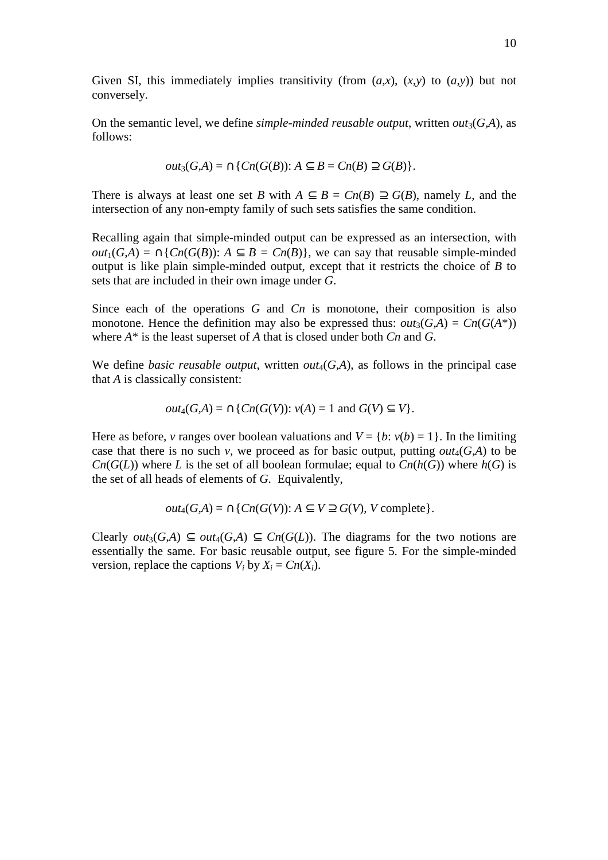Given SI, this immediately implies transitivity (from  $(a,x)$ ,  $(x,y)$  to  $(a,y)$ ) but not conversely.

On the semantic level, we define *simple-minded reusable output*, written  $out_3(G,A)$ , as follows:

$$
out_3(G,A) = \bigcap \{ Cn(G(B)) : A \subseteq B = Cn(B) \supseteq G(B) \}.
$$

There is always at least one set *B* with  $A \subseteq B = Cn(B) \supseteq G(B)$ , namely *L*, and the intersection of any non-empty family of such sets satisfies the same condition.

Recalling again that simple-minded output can be expressed as an intersection, with *out*<sub>1</sub>(*G,A*) = ∩{*Cn*(*G*(*B*)): *A* ⊆ *B* = *Cn*(*B*)}, we can say that reusable simple-minded output is like plain simple-minded output, except that it restricts the choice of *B* to sets that are included in their own image under *G*.

Since each of the operations *G* and *Cn* is monotone, their composition is also monotone. Hence the definition may also be expressed thus:  $out_3(G,A) = Cn(G(A^*))$ where *A*\* is the least superset of *A* that is closed under both *Cn* and *G*.

We define *basic reusable output*, written  $out_4(G,A)$ , as follows in the principal case that *A* is classically consistent:

$$
out_4(G,A) = \bigcap \{ Cn(G(V)) : v(A) = 1 \text{ and } G(V) \subseteq V \}.
$$

Here as before, *v* ranges over boolean valuations and  $V = \{b: v(b) = 1\}$ . In the limiting case that there is no such *v*, we proceed as for basic output, putting  $out_4(G,A)$  to be *Cn*( $G(L)$ ) where *L* is the set of all boolean formulae; equal to  $Cn(h(G))$  where  $h(G)$  is the set of all heads of elements of *G*. Equivalently,

$$
out_4(G,A) = \bigcap \{ Cn(G(V)) : A \subseteq V \supseteq G(V), V \text{ complete} \}.
$$

Clearly *out*<sub>3</sub>(*G,A*) ⊆ *out*<sub>4</sub>(*G,A*) ⊆ *Cn*(*G*(*L*)). The diagrams for the two notions are essentially the same. For basic reusable output, see figure 5. For the simple-minded version, replace the captions  $V_i$  by  $X_i = Cn(X_i)$ .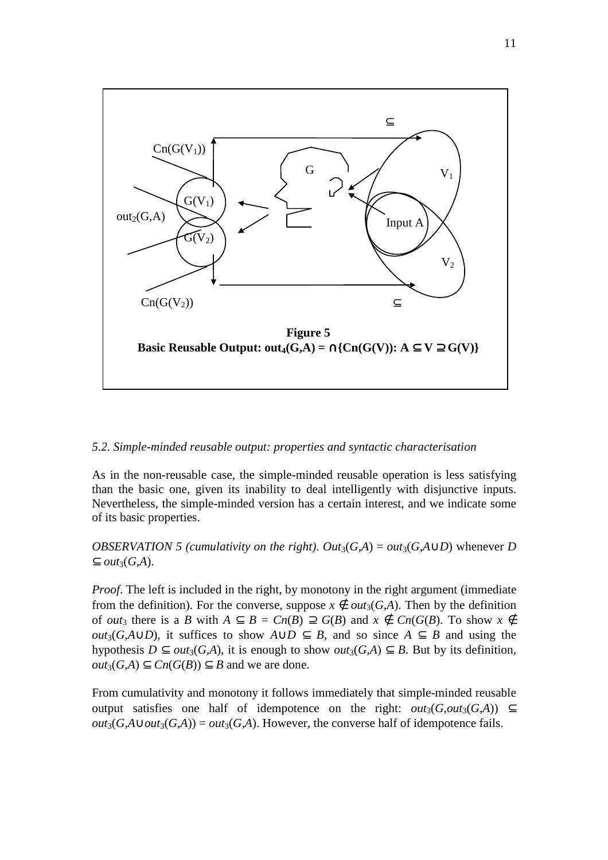

## *5.2. Simple-minded reusable output: properties and syntactic characterisation*

As in the non-reusable case, the simple-minded reusable operation is less satisfying than the basic one, given its inability to deal intelligently with disjunctive inputs. Nevertheless, the simple-minded version has a certain interest, and we indicate some of its basic properties.

*OBSERVATION 5 (cumulativity on the right).*  $Out_3(G,A) = out_3(G,A \cup D)$  *whenever D*  $⊆ out<sub>3</sub>(G,A).$ 

*Proof.* The left is included in the right, by monotony in the right argument (immediate from the definition). For the converse, suppose  $x \notin out_3(G,A)$ . Then by the definition of *out*<sub>3</sub> there is a *B* with  $A \subseteq B = Cn(B) \supseteq G(B)$  and  $x \notin Cn(G(B))$ . To show  $x \notin B$ *out*<sub>3</sub>(*G,A*∪*D*), it suffices to show  $A \cup D \subset B$ , and so since  $A \subset B$  and using the hypothesis  $D \subseteq out_3(G,A)$ , it is enough to show  $out_3(G,A) \subseteq B$ . But by its definition,  $out_3(G,A)$  ⊆  $Cn(G(B))$  ⊆ *B* and we are done.

From cumulativity and monotony it follows immediately that simple-minded reusable output satisfies one half of idempotence on the right:  $out_3(G,out_3(G,A)) \subseteq$  $out_3(G,A \cup out_3(G,A)) = out_3(G,A)$ . However, the converse half of idempotence fails.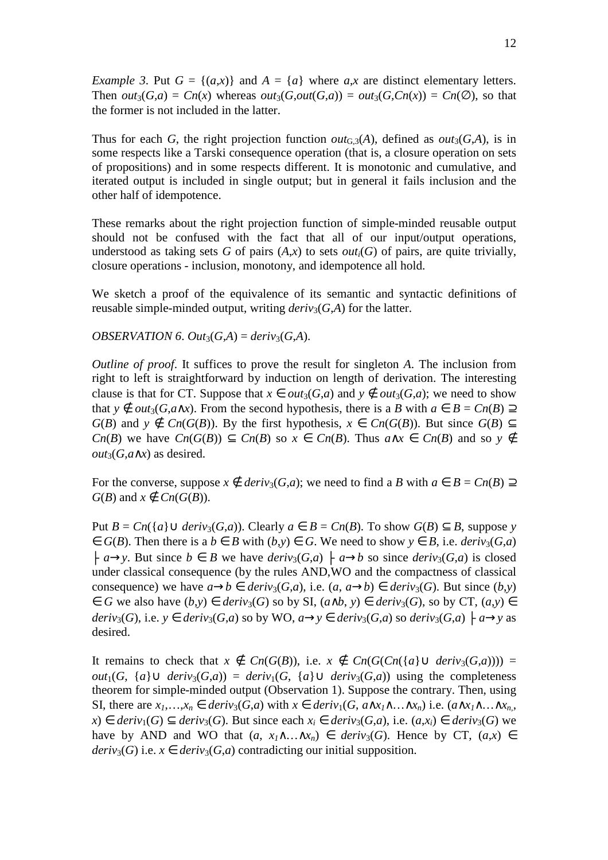*Example 3.* Put  $G = \{(a, x)\}\$ and  $A = \{a\}$  where  $a, x$  are distinct elementary letters. Then  $out_3(G,a) = Cn(x)$  whereas  $out_3(G,out(G,a)) = out_3(G,Cn(x)) = Cn(\emptyset)$ , so that the former is not included in the latter.

Thus for each *G*, the right projection function *out*<sub>G3</sub>(*A*), defined as *out*<sub>3</sub>(*G,A*), is in some respects like a Tarski consequence operation (that is, a closure operation on sets of propositions) and in some respects different. It is monotonic and cumulative, and iterated output is included in single output; but in general it fails inclusion and the other half of idempotence.

These remarks about the right projection function of simple-minded reusable output should not be confused with the fact that all of our input/output operations, understood as taking sets *G* of pairs  $(A,x)$  to sets *out<sub>i</sub>* $(G)$  of pairs, are quite trivially, closure operations - inclusion, monotony, and idempotence all hold.

We sketch a proof of the equivalence of its semantic and syntactic definitions of reusable simple-minded output, writing  $deriv_3(G,A)$  for the latter.

*OBSERVATION 6. Out*<sub>3</sub> $(G,A) =$  *deriv*<sub>3</sub> $(G,A)$ .

*Outline of proof.* It suffices to prove the result for singleton *A*. The inclusion from right to left is straightforward by induction on length of derivation. The interesting clause is that for CT. Suppose that  $x \in out_3(G,a)$  and  $y \notin out_3(G,a)$ ; we need to show that *y* ∉ *out*<sub>3</sub>(*G*,*a*∧*x*). From the second hypothesis, there is a *B* with  $a \in B = Cn(B)$ *G*(*B*) and *y* ∉ *Cn*(*G*(*B*)). By the first hypothesis, *x* ∈ *Cn*(*G*(*B*)). But since *G*(*B*) ⊆ *Cn*(*B*) we have  $Cn(G(B)) \subseteq Cn(B)$  so  $x \in Cn(B)$ . Thus  $a \wedge x \in Cn(B)$  and so  $y \notin Cn(B)$ *out*3(*G*,*a*∧*x*) as desired.

For the converse, suppose  $x \notin$  *deriv*<sub>3</sub>(*G*,*a*); we need to find a *B* with  $a \in B = Cn(B) \supseteq$  $G(B)$  and  $x \notin Cn(G(B))$ .

Put  $B = Cn({a} \cup deriv_3(G,a))$ . Clearly  $a \in B = Cn(B)$ . To show  $G(B) \subseteq B$ , suppose *y* ∈ *G*(*B*). Then there is a *b* ∈ *B* with  $(b,y)$  ∈ *G*. We need to show  $y$  ∈ *B*, i.e. *deriv*<sub>3</sub>(*G*,*a*)  $\downarrow$  *a*→*y*. But since *b* ∈ *B* we have *deriv*<sub>3</sub>(*G*,*a*)  $\downarrow$  *a→b* so since *deriv*<sub>3</sub>(*G*,*a*) is closed under classical consequence (by the rules AND,WO and the compactness of classical consequence) we have  $a \rightarrow b \in deriv_3(G, a)$ , i.e.  $(a, a \rightarrow b) \in deriv_3(G)$ . But since  $(b, y)$ ∈ *G* we also have  $(b,y)$  ∈ *deriv*<sub>3</sub>(*G*) so by SI,  $(a \land b, y)$  ∈ *deriv*<sub>3</sub>(*G*), so by CT,  $(a,y)$  ∈ *deriv*<sub>3</sub>(*G*), i.e.  $y \in$  *deriv*<sub>3</sub>(*G*,*a*) so by WO,  $a \rightarrow y \in$  *deriv*<sub>3</sub>(*G*,*a*) so *deriv*<sub>3</sub>(*G*,*a*)  $\vdash$   $a \rightarrow y$  as desired.

It remains to check that  $x \notin C_n(G(B))$ , i.e.  $x \notin C_n(G(C_n(\{a\}) \cup \text{deriv}_3(G,a))))$  = *out*<sub>1</sub>(*G*, {*a*}∪ *deriv*<sub>3</sub>(*G*,*a*)) = *deriv*<sub>1</sub>(*G*, {*a*}∪ *deriv*<sub>3</sub>(*G*,*a*)) using the completeness theorem for simple-minded output (Observation 1). Suppose the contrary. Then, using SI, there are  $x_1, \ldots, x_n \in deriv_3(G, a)$  with  $x \in deriv_1(G, a \wedge x_1 \wedge \ldots \wedge x_n)$  i.e.  $(a \wedge x_1 \wedge \ldots \wedge x_n,$ *x*) ∈ *deriv*<sub>1</sub>(*G*) ⊆ *deriv*<sub>3</sub>(*G*). But since each  $x_i$  ∈ *deriv*<sub>3</sub>(*G*,*a*), i.e. (*a*,*x<sub>i</sub>*) ∈ *deriv*<sub>3</sub>(*G*) we have by AND and WO that  $(a, x_1 \wedge \ldots \wedge x_n) \in deriv_3(G)$ . Hence by CT,  $(a,x) \in$ *deriv*<sub>3</sub>(*G*) i.e.  $x \in$  *deriv*<sub>3</sub>(*G*,*a*) contradicting our initial supposition.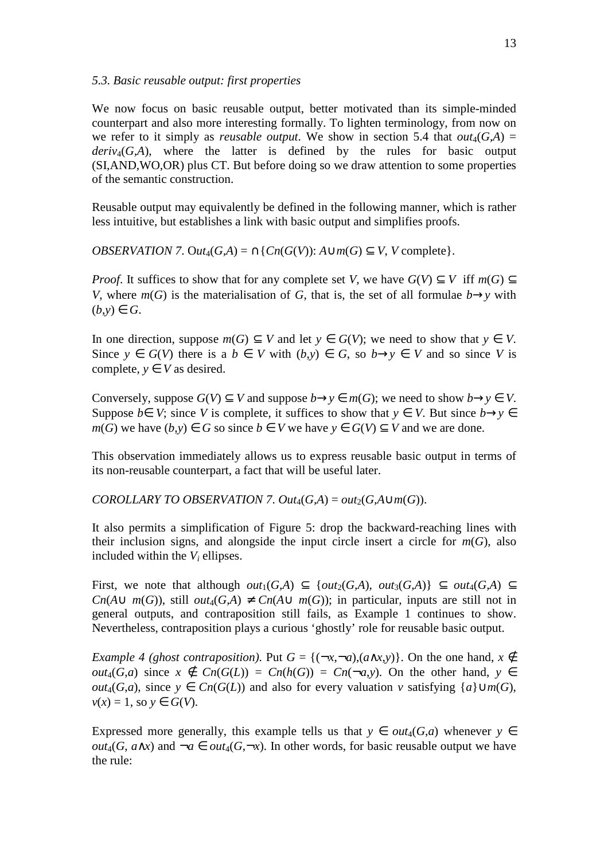### *5.3. Basic reusable output: first properties*

We now focus on basic reusable output, better motivated than its simple-minded counterpart and also more interesting formally. To lighten terminology, from now on we refer to it simply as *reusable output*. We show in section 5.4 that  $out_4(G,A)$  =  $deriv_4(G,A)$ , where the latter is defined by the rules for basic output (SI,AND,WO,OR) plus CT. But before doing so we draw attention to some properties of the semantic construction.

Reusable output may equivalently be defined in the following manner, which is rather less intuitive, but establishes a link with basic output and simplifies proofs.

*OBSERVATION 7.* Out<sub>4</sub>(*G,A*) =  $\cap$ {*Cn*(*G*(*V*)): *A* $\cup$ *m*(*G*)  $\subseteq$  *V*, *V* complete}.

*Proof.* It suffices to show that for any complete set *V*, we have  $G(V) \subset V$  iff  $m(G) \subset V$ *V*, where  $m(G)$  is the materialisation of *G*, that is, the set of all formulae *b*→*y* with  $(b,y) \in G$ .

In one direction, suppose  $m(G) \subseteq V$  and let  $y \in G(V)$ ; we need to show that  $y \in V$ . Since  $y \in G(V)$  there is a  $b \in V$  with  $(b, y) \in G$ , so  $b \rightarrow y \in V$  and so since V is complete,  $y \in V$  as desired.

Conversely, suppose  $G(V) \subseteq V$  and suppose  $b \rightarrow y \in m(G)$ ; we need to show  $b \rightarrow y \in V$ . Suppose *b*∈ *V*; since *V* is complete, it suffices to show that  $y \in V$ . But since  $b \rightarrow y \in V$ *m*(*G*) we have  $(b,y)$  ∈ *G* so since  $b \in V$  we have  $y \in G(V) \subseteq V$  and we are done.

This observation immediately allows us to express reusable basic output in terms of its non-reusable counterpart, a fact that will be useful later.

*COROLLARY TO OBSERVATION 7. Out*<sub>4</sub>( $G$ , $A$ ) =  $out_2(G, A \cup m(G))$ .

It also permits a simplification of Figure 5: drop the backward-reaching lines with their inclusion signs, and alongside the input circle insert a circle for  $m(G)$ , also included within the  $V_i$  ellipses.

First, we note that although  $out_1(G,A) \subseteq \{out_2(G,A), out_3(G,A)\} \subseteq out_4(G,A) \subseteq$ *Cn*( $A \cup m(G)$ ), still *out*<sub>4</sub>( $G$ , $A$ ) ≠  $Cn(A \cup m(G))$ ; in particular, inputs are still not in general outputs, and contraposition still fails, as Example 1 continues to show. Nevertheless, contraposition plays a curious 'ghostly' role for reusable basic output.

*Example 4 (ghost contraposition)*. Put  $G = \{(-x, -a), (a \wedge x, y)\}\$ . On the one hand,  $x \notin$ *out*<sub>4</sub>(*G*,*a*) since  $x \notin C_n(G(L)) = C_n(h(G)) = C_n(\neg a, y)$ . On the other hand,  $y \in$ *out*<sub>4</sub>(*G*,*a*), since *y* ∈ *Cn*(*G*(*L*)) and also for every valuation *v* satisfying {*a*}∪*m*(*G*),  $v(x) = 1$ , so  $v \in G(V)$ .

Expressed more generally, this example tells us that  $y \in out_4(G,a)$  whenever  $y \in$ *out*<sub>4</sub>(*G*, *a*∧*x*) and  $\neg a ∈ out_4(G, \neg x)$ . In other words, for basic reusable output we have the rule: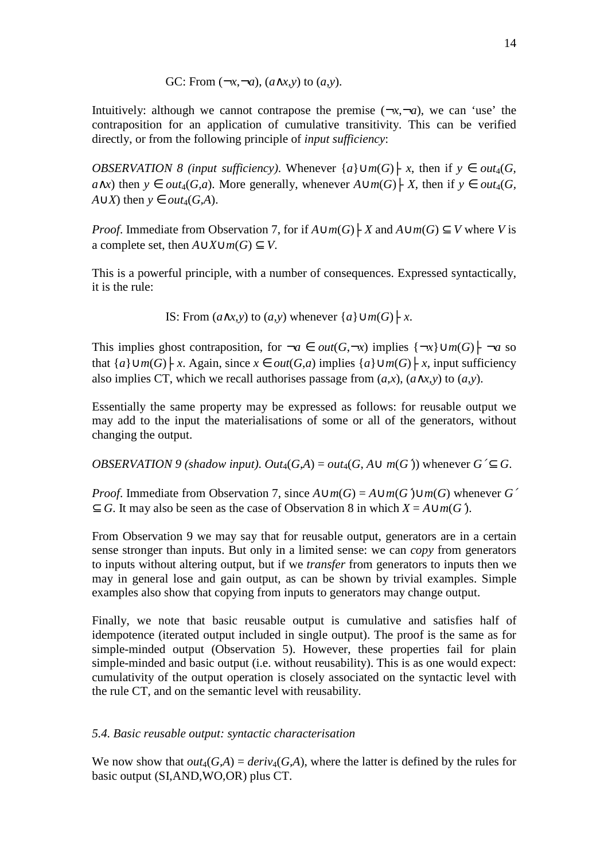GC: From 
$$
(\neg x, \neg a)
$$
,  $(a \land x, y)$  to  $(a, y)$ .

Intuitively: although we cannot contrapose the premise  $(-x, -a)$ , we can 'use' the contraposition for an application of cumulative transitivity. This can be verified directly, or from the following principle of *input sufficiency*:

*OBSERVATION 8 (input sufficiency)*. Whenever  $\{a\} \cup m(G) \models x$ , then if  $y \in out_4(G,$ *a*∧*x*) then *y* ∈ *out*<sub>4</sub>(*G,a*). More generally, whenever  $A \cup m(G)$   $\vdash$  *X*, then if *y* ∈ *out*<sub>4</sub>(*G*, *A*∪*X*) then  $y \in out_4(G, A)$ .

*Proof.* Immediate from Observation 7, for if  $A \cup m(G) \vdash X$  and  $A \cup m(G) \subseteq V$  where *V* is a complete set, then  $A∪X∪m(G) ⊂ V$ .

This is a powerful principle, with a number of consequences. Expressed syntactically, it is the rule:

IS: From  $(a \land x, y)$  to  $(a, y)$  whenever  $\{a\} \cup m(G) \mid x$ .

This implies ghost contraposition, for  $\neg a \in out(G, \neg x)$  implies  $\{\neg x\} \cup m(G) \vdash \neg a$  so that  ${a} \cup m(G) \vdash x$ . Again, since  $x \in out(G,a)$  implies  ${a} \cup m(G) \vdash x$ , input sufficiency also implies CT, which we recall authorises passage from  $(a,x)$ ,  $(a \wedge x,y)$  to  $(a,y)$ .

Essentially the same property may be expressed as follows: for reusable output we may add to the input the materialisations of some or all of the generators, without changing the output.

*OBSERVATION 9 (shadow input).*  $Out_4(G,A) = out_4(G,A \cup m(G'))$  *whenever*  $G' \subset G$ *.* 

*Proof.* Immediate from Observation 7, since  $A \cup m(G) = A \cup m(G') \cup m(G)$  whenever  $G'$  $\subseteq$  *G*. It may also be seen as the case of Observation 8 in which *X* = *A*∪*m*(*G*<sup> $\land$ </sup>).

From Observation 9 we may say that for reusable output, generators are in a certain sense stronger than inputs. But only in a limited sense: we can *copy* from generators to inputs without altering output, but if we *transfer* from generators to inputs then we may in general lose and gain output, as can be shown by trivial examples. Simple examples also show that copying from inputs to generators may change output.

Finally, we note that basic reusable output is cumulative and satisfies half of idempotence (iterated output included in single output). The proof is the same as for simple-minded output (Observation 5). However, these properties fail for plain simple-minded and basic output (i.e. without reusability). This is as one would expect: cumulativity of the output operation is closely associated on the syntactic level with the rule CT, and on the semantic level with reusability.

# *5.4. Basic reusable output: syntactic characterisation*

We now show that  $out_4(G,A) = deriv_4(G,A)$ , where the latter is defined by the rules for basic output (SI,AND,WO,OR) plus CT.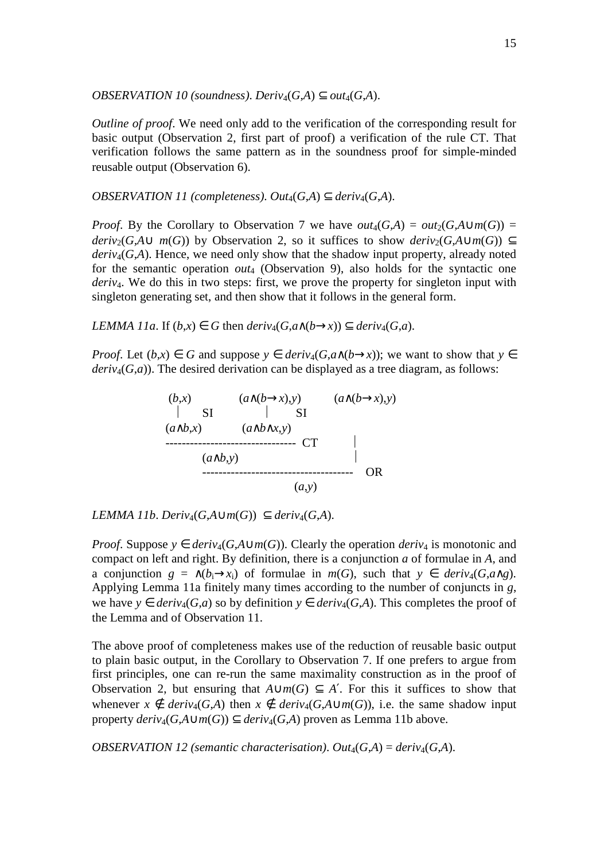*OBSERVATION 10 (soundness). Deriv<sub>4</sub>(* $G$ *,* $A$ *)*  $\subset$  *out<sub>4</sub>*( $G$ , $A$ ).

*Outline of proof.* We need only add to the verification of the corresponding result for basic output (Observation 2, first part of proof) a verification of the rule CT. That verification follows the same pattern as in the soundness proof for simple-minded reusable output (Observation 6).

*OBSERVATION 11 (completeness).*  $Out_4(G,A) \subset deriv_4(G,A)$ *.* 

*Proof.* By the Corollary to Observation 7 we have  $out_4(G,A) = out_2(G,A \cup m(G)) =$ *deriv*<sub>2</sub>(*G,A*∪ *m*(*G*)) by Observation 2, so it suffices to show *deriv*<sub>2</sub>(*G,A*∪*m*(*G*)) ⊂  $deriv<sub>4</sub>(G,A)$ . Hence, we need only show that the shadow input property, already noted for the semantic operation *out*<sub>4</sub> (Observation 9), also holds for the syntactic one *deriv<sub>4</sub>*. We do this in two steps: first, we prove the property for singleton input with singleton generating set, and then show that it follows in the general form.

*LEMMA 11a*. If  $(b,x) \in G$  then  $deriv_4(G, a \wedge (b \rightarrow x)) \subseteq deriv_4(G, a)$ .

*Proof.* Let  $(b, x) \in G$  and suppose  $y \in deriv_4(G, a \wedge (b \rightarrow x))$ ; we want to show that  $y \in G$ *deriv*<sub>4</sub> $(G,a)$ ). The desired derivation can be displayed as a tree diagram, as follows:



*LEMMA 11b. Deriv*<sub>4</sub>(*G*,*A*∪*m*(*G*)) ⊂ *deriv*<sub>4</sub>(*G*,*A*).

*Proof.* Suppose  $y \in deriv_4(G, A \cup m(G))$ . Clearly the operation *deriv*<sub>4</sub> is monotonic and compact on left and right. By definition, there is a conjunction *a* of formulae in *A*, and a conjunction  $g = \land (b_i \rightarrow x_i)$  of formulae in  $m(G)$ , such that  $y \in deriv_4(G, a \land g)$ . Applying Lemma 11a finitely many times according to the number of conjuncts in *g*, we have  $y \in$  *deriv*<sub>4</sub>(*G*,*a*) so by definition  $y \in$  *deriv*<sub>4</sub>(*G*,*A*). This completes the proof of the Lemma and of Observation 11.

The above proof of completeness makes use of the reduction of reusable basic output to plain basic output, in the Corollary to Observation 7. If one prefers to argue from first principles, one can re-run the same maximality construction as in the proof of Observation 2, but ensuring that  $A \cup m(G) \subseteq A'$ . For this it suffices to show that whenever  $x \notin \text{deriv}_4(G,A)$  then  $x \notin \text{deriv}_4(G,A \cup \text{m}(G))$ , i.e. the same shadow input property  $deriv_4(G.A \cup m(G)) \subset deriv_4(G.A)$  proven as Lemma 11b above.

*OBSERVATION 12 (semantic characterisation).*  $Out_4(G,A) = deriv_4(G,A)$ *.*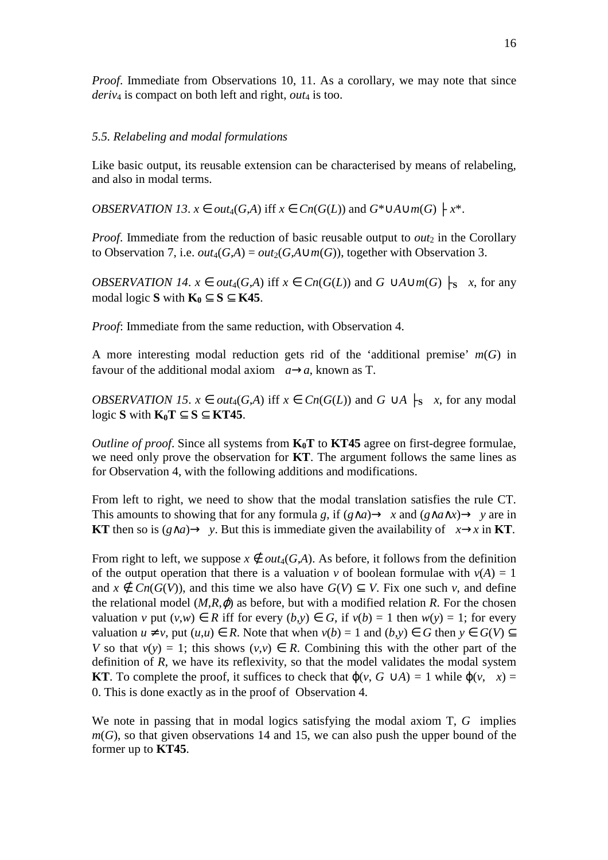*Proof.* Immediate from Observations 10, 11. As a corollary, we may note that since *deriv*4 is compact on both left and right, *out*4 is too.

## *5.5. Relabeling and modal formulations*

Like basic output, its reusable extension can be characterised by means of relabeling, and also in modal terms.

*OBSERVATION 13.*  $x \in out_4(G,A)$  iff  $x \in Cn(G(L))$  and  $G^* \cup A \cup m(G) \mid x^*$ .

*Proof.* Immediate from the reduction of basic reusable output to  $out_2$  in the Corollary to Observation 7, i.e.  $out_4(G,A) = out_2(G,A \cup m(G))$ , together with Observation 3.

*OBSERVATION 14.*  $x \in out_4(G,A)$  iff  $x \in Cn(G(L))$  and  $G \cup A \cup m(G)$   $\mid_S x$ , for any modal logic **S** with  $\mathbf{K}_0 \subseteq \mathbf{S} \subseteq \mathbf{K45}$ .

*Proof*: Immediate from the same reduction, with Observation 4.

A more interesting modal reduction gets rid of the 'additional premise' *m*(*G*) in favour of the additional modal axiom  $a \rightarrow a$ , known as T.

*OBSERVATION 15.*  $x \in out_4(G,A)$  iff  $x \in Cn(G(L))$  and  $G \cup A \mid s \neq x$ , for any modal logic **S** with  $K_0T ⊆ S ⊆ KT45$ .

*Outline of proof*. Since all systems from **K0T** to **KT45** agree on first-degree formulae, we need only prove the observation for **KT**. The argument follows the same lines as for Observation 4, with the following additions and modifications.

From left to right, we need to show that the modal translation satisfies the rule CT. This amounts to showing that for any formula *g*, if  $(g \land a) \rightarrow x$  and  $(g \land a \land x) \rightarrow y$  are in **KT** then so is  $(g \land a) \rightarrow y$ . But this is immediate given the availability of  $x \rightarrow x$  in **KT**.

From right to left, we suppose  $x \notin out_4(G,A)$ . As before, it follows from the definition of the output operation that there is a valuation *v* of boolean formulae with  $v(A) = 1$ and  $x \notin C_n(G(V))$ , and this time we also have  $G(V) \subseteq V$ . Fix one such v, and define the relational model  $(M, R, \varphi)$  as before, but with a modified relation *R*. For the chosen valuation *v* put  $(v, w) \in R$  iff for every  $(b, y) \in G$ , if  $v(b) = 1$  then  $w(y) = 1$ ; for every valuation  $u \neq v$ , put  $(u, u) \in R$ . Note that when  $v(b) = 1$  and  $(b, v) \in G$  then  $v \in G(V) \subset$ *V* so that  $v(v) = 1$ ; this shows  $(v, v) \in R$ . Combining this with the other part of the definition of *R*, we have its reflexivity, so that the model validates the modal system **KT**. To complete the proof, it suffices to check that  $\varphi(v, G \cup A) = 1$  while  $\varphi(v, x) =$ 0. This is done exactly as in the proof of Observation 4.

We note in passing that in modal logics satisfying the modal axiom T, G implies  $m(G)$ , so that given observations 14 and 15, we can also push the upper bound of the former up to **KT45**.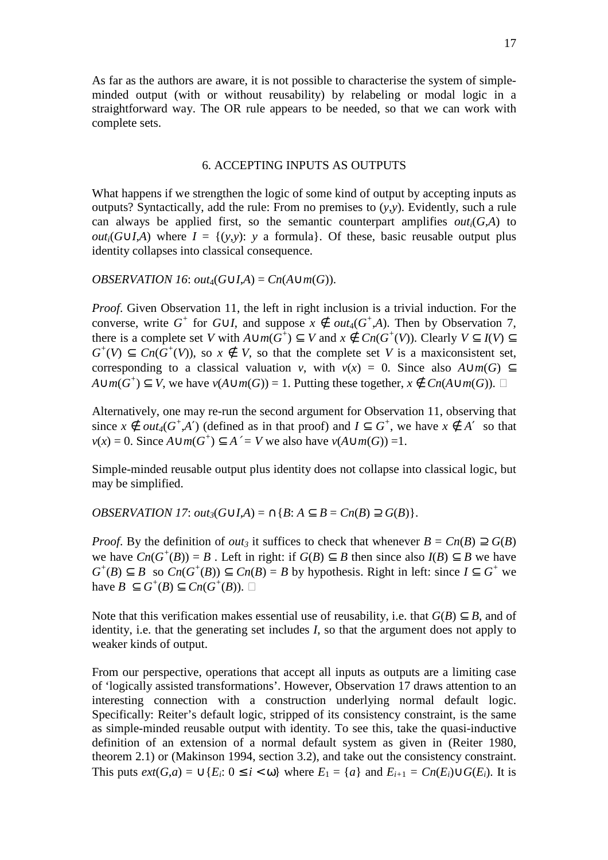As far as the authors are aware, it is not possible to characterise the system of simpleminded output (with or without reusability) by relabeling or modal logic in a straightforward way. The OR rule appears to be needed, so that we can work with complete sets.

# 6. ACCEPTING INPUTS AS OUTPUTS

What happens if we strengthen the logic of some kind of output by accepting inputs as outputs? Syntactically, add the rule: From no premises to (*y*,*y*). Evidently, such a rule can always be applied first, so the semantic counterpart amplifies  $out_i(G,A)$  to *out<sub>i</sub>*( $G \cup I$ ,*A*) where  $I = \{(y,y): y \in I \text{ formula}\}\)$ . Of these, basic reusable output plus identity collapses into classical consequence.

### *OBSERVATION 16:*  $out_4(G \cup I, A) = Cn(A \cup m(G)).$

*Proof.* Given Observation 11, the left in right inclusion is a trivial induction. For the converse, write  $G^+$  for  $G \cup I$ , and suppose  $x \notin out_4(G^+, A)$ . Then by Observation 7, there is a complete set *V* with  $A \cup m(G^+) \subseteq V$  and  $x \notin Cn(G^+(V))$ . Clearly  $V \subseteq I(V) \subseteq$  $G^+(V) \subseteq Cn(G^+(V))$ , so  $x \notin V$ , so that the complete set *V* is a maxiconsistent set, corresponding to a classical valuation *v*, with  $v(x) = 0$ . Since also  $A \cup m(G) \subseteq$ *A*∪*m*(*G*<sup>+</sup>) ⊆ *V*, we have *v*(*A*∪*m*(*G*)) = 1. Putting these together, *x* ∉ *Cn*(*A*∪*m*(*G*)).

Alternatively, one may re-run the second argument for Observation 11, observing that since  $x \notin out_4(G^+ A')$  (defined as in that proof) and  $I \subseteq G^+$ , we have  $x \notin A'$  so that *v*(*x*) = 0. Since *A*∪*m*(*G*<sup>+</sup>) ⊆ *A*<sup> $′$ </sup> = *V* we also have *v*(*A*∪*m*(*G*)) =1.

Simple-minded reusable output plus identity does not collapse into classical logic, but may be simplified.

*OBSERVATION 17*: *out*<sub>3</sub>( $G \cup I$ ,*A*) =  $\cap$ {*B*:  $A \subset B = Cn(B) \supseteq G(B)$ }.

*Proof.* By the definition of *out*<sub>3</sub> it suffices to check that whenever  $B = Cn(B) \supset G(B)$ we have  $Cn(G^+(B)) = B$ . Left in right: if  $G(B) \subseteq B$  then since also  $I(B) \subseteq B$  we have  $G^+(B) \subseteq B$  so  $Cn(G^+(B)) \subseteq Cn(B) = B$  by hypothesis. Right in left: since  $I \subseteq G^+$  we have  $B \subseteq G^+(B) \subseteq Cn(G^+(B)).$ 

Note that this verification makes essential use of reusability, i.e. that  $G(B) \subset B$ , and of identity, i.e. that the generating set includes *I*, so that the argument does not apply to weaker kinds of output.

From our perspective, operations that accept all inputs as outputs are a limiting case of 'logically assisted transformations'. However, Observation 17 draws attention to an interesting connection with a construction underlying normal default logic. Specifically: Reiter's default logic, stripped of its consistency constraint, is the same as simple-minded reusable output with identity. To see this, take the quasi-inductive definition of an extension of a normal default system as given in (Reiter 1980, theorem 2.1) or (Makinson 1994, section 3.2), and take out the consistency constraint. This puts  $ext(G,a) = \bigcup \{E_i: 0 \le i < \omega\}$  where  $E_1 = \{a\}$  and  $E_{i+1} = Cn(E_i) \cup G(E_i)$ . It is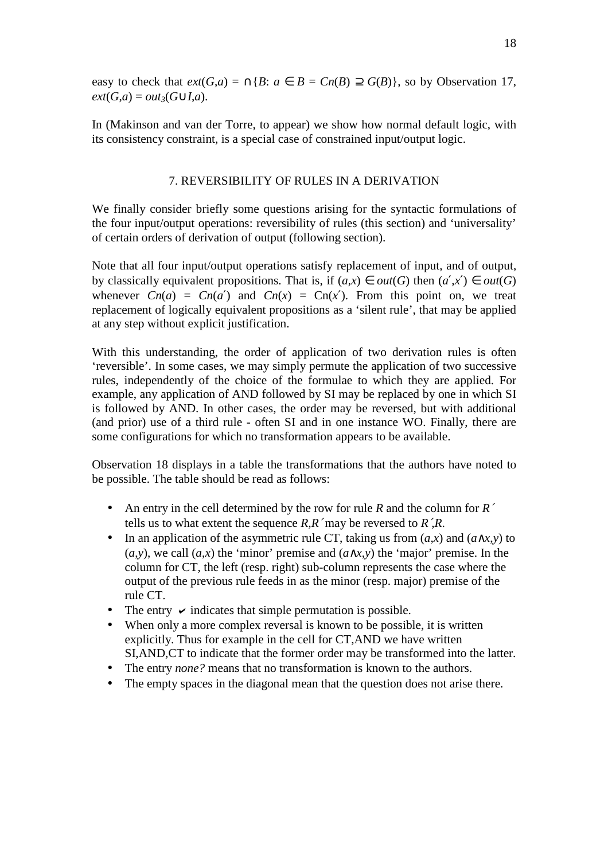easy to check that  $ext(G,a) = \bigcap \{B: a \in B = Cn(B) \supseteq G(B)\}\$ , so by Observation 17,  $ext(G,a) = out_3(G \cup I,a).$ 

In (Makinson and van der Torre, to appear) we show how normal default logic, with its consistency constraint, is a special case of constrained input/output logic.

## 7. REVERSIBILITY OF RULES IN A DERIVATION

We finally consider briefly some questions arising for the syntactic formulations of the four input/output operations: reversibility of rules (this section) and 'universality' of certain orders of derivation of output (following section).

Note that all four input/output operations satisfy replacement of input, and of output, by classically equivalent propositions. That is, if  $(a,x) \in out(G)$  then  $(a',x') \in out(G)$ whenever  $C_n(a) = C_n(a')$  and  $C_n(x) = C_n(x')$ . From this point on, we treat replacement of logically equivalent propositions as a 'silent rule', that may be applied at any step without explicit justification.

With this understanding, the order of application of two derivation rules is often 'reversible'. In some cases, we may simply permute the application of two successive rules, independently of the choice of the formulae to which they are applied. For example, any application of AND followed by SI may be replaced by one in which SI is followed by AND. In other cases, the order may be reversed, but with additional (and prior) use of a third rule - often SI and in one instance WO. Finally, there are some configurations for which no transformation appears to be available.

Observation 18 displays in a table the transformations that the authors have noted to be possible. The table should be read as follows:

- An entry in the cell determined by the row for rule *R* and the column for *R*′ tells us to what extent the sequence *R*,*R*′ may be reversed to *R*′,*R*.
- In an application of the asymmetric rule CT, taking us from  $(a,x)$  and  $(a \wedge x,y)$  to  $(a,y)$ , we call  $(a,x)$  the 'minor' premise and  $(a \wedge x,y)$  the 'major' premise. In the column for CT, the left (resp. right) sub-column represents the case where the output of the previous rule feeds in as the minor (resp. major) premise of the rule CT.
- The entry  $\checkmark$  indicates that simple permutation is possible.
- When only a more complex reversal is known to be possible, it is written explicitly. Thus for example in the cell for CT,AND we have written SI,AND,CT to indicate that the former order may be transformed into the latter.
- The entry *none?* means that no transformation is known to the authors.
- The empty spaces in the diagonal mean that the question does not arise there.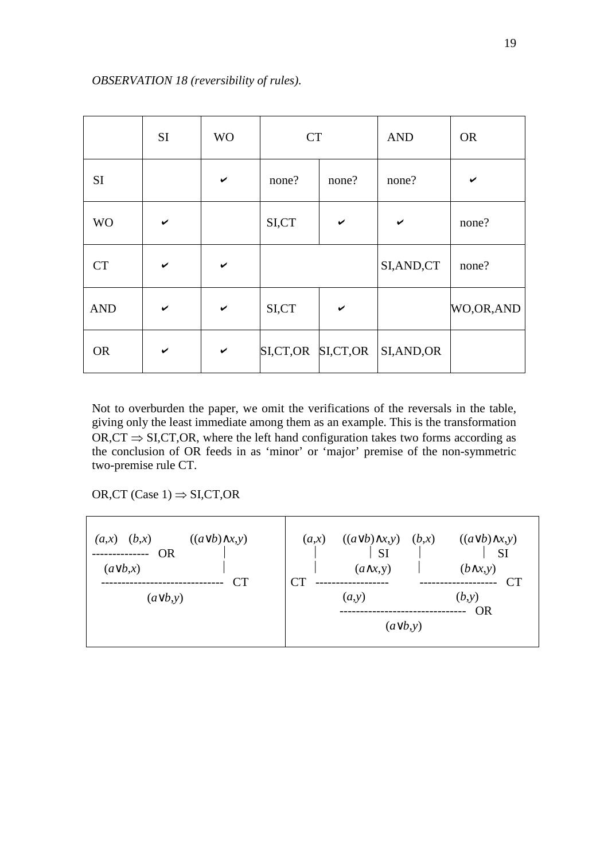|            | <b>SI</b> | <b>WO</b> | <b>CT</b>         |              | <b>AND</b>  | <b>OR</b> |
|------------|-----------|-----------|-------------------|--------------|-------------|-----------|
| <b>SI</b>  |           | ✔         | none?             | none?        | none?       |           |
| <b>WO</b>  | ✔         |           | SI,CT             | $\checkmark$ | ✔           | none?     |
| <b>CT</b>  | ✔         | ✔         |                   |              | SI, AND, CT | none?     |
| <b>AND</b> |           | ✔         | SI,CT             | $\checkmark$ |             | WO,OR,AND |
| <b>OR</b>  | ✔         | ✓         | SI,CT,OR SI,CT,OR |              | SI, AND, OR |           |

Not to overburden the paper, we omit the verifications of the reversals in the table, giving only the least immediate among them as an example. This is the transformation  $OR, CT \Rightarrow SI, CT, OR$ , where the left hand configuration takes two forms according as the conclusion of OR feeds in as 'minor' or 'major' premise of the non-symmetric two-premise rule CT.

OR,CT (Case  $1) \Rightarrow$  SI,CT,OR

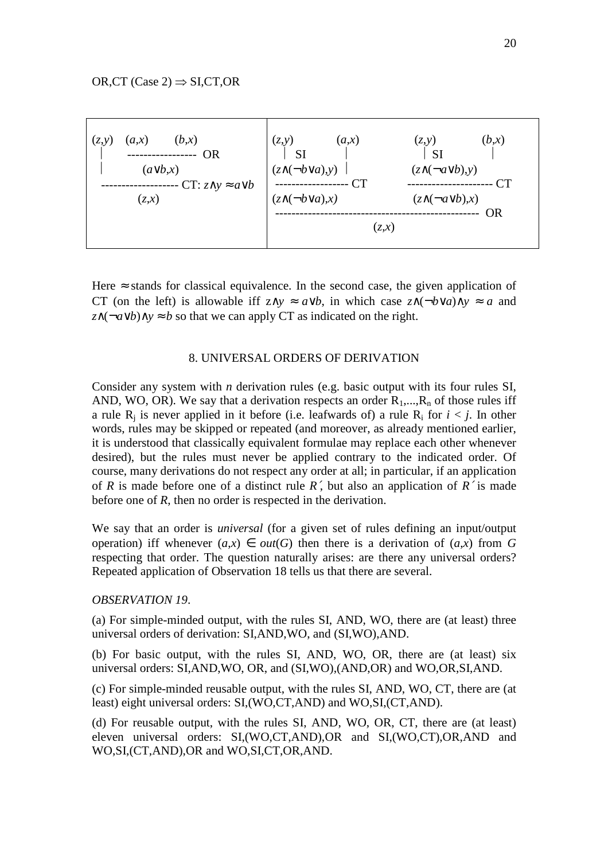

Here  $\approx$  stands for classical equivalence. In the second case, the given application of CT (on the left) is allowable iff  $z \wedge y \approx a \vee b$ , in which case  $z \wedge (\neg b \vee a) \wedge y \approx a$  and *z*∧(¬*a*∨*b*)∧*y* ≈ *b* so that we can apply CT as indicated on the right.

#### 8. UNIVERSAL ORDERS OF DERIVATION

Consider any system with *n* derivation rules (e.g. basic output with its four rules SI, AND, WO, OR). We say that a derivation respects an order  $R_1, ..., R_n$  of those rules iff a rule  $R_j$  is never applied in it before (i.e. leafwards of) a rule  $R_i$  for  $i < j$ . In other words, rules may be skipped or repeated (and moreover, as already mentioned earlier, it is understood that classically equivalent formulae may replace each other whenever desired), but the rules must never be applied contrary to the indicated order. Of course, many derivations do not respect any order at all; in particular, if an application of *R* is made before one of a distinct rule *R*′, but also an application of *R*′ is made before one of *R*, then no order is respected in the derivation.

We say that an order is *universal* (for a given set of rules defining an input/output operation) iff whenever  $(a,x) \in out(G)$  then there is a derivation of  $(a,x)$  from G respecting that order. The question naturally arises: are there any universal orders? Repeated application of Observation 18 tells us that there are several.

#### *OBSERVATION 19*.

(a) For simple-minded output, with the rules SI, AND, WO, there are (at least) three universal orders of derivation: SI,AND,WO, and (SI,WO),AND.

(b) For basic output, with the rules SI, AND, WO, OR, there are (at least) six universal orders: SI,AND,WO, OR, and (SI,WO),(AND,OR) and WO,OR,SI,AND.

(c) For simple-minded reusable output, with the rules SI, AND, WO, CT, there are (at least) eight universal orders: SI,(WO,CT,AND) and WO,SI,(CT,AND).

(d) For reusable output, with the rules SI, AND, WO, OR, CT, there are (at least) eleven universal orders: SI,(WO,CT,AND),OR and SI,(WO,CT),OR,AND and WO,SI,(CT,AND),OR and WO,SI,CT,OR,AND.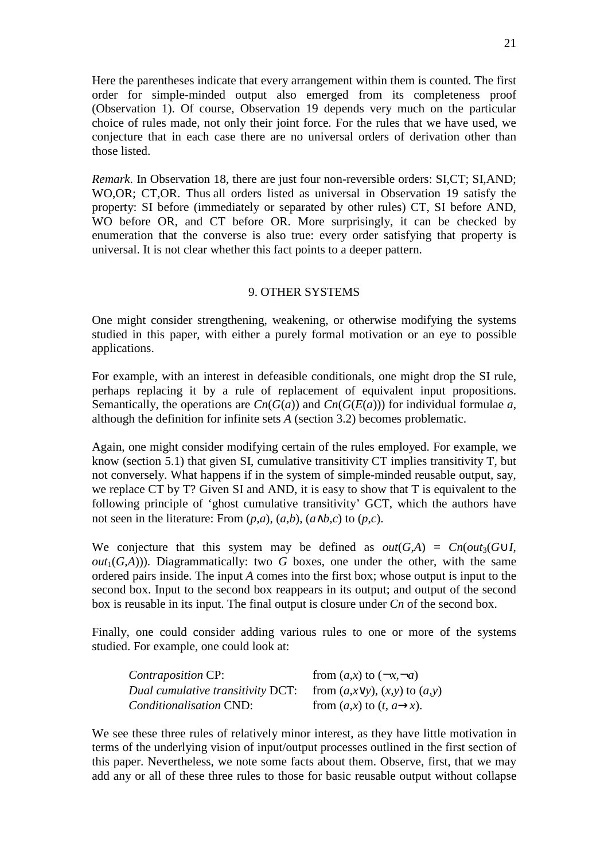Here the parentheses indicate that every arrangement within them is counted. The first order for simple-minded output also emerged from its completeness proof (Observation 1). Of course, Observation 19 depends very much on the particular choice of rules made, not only their joint force. For the rules that we have used, we conjecture that in each case there are no universal orders of derivation other than those listed.

*Remark*. In Observation 18, there are just four non-reversible orders: SI,CT; SI,AND; WO,OR; CT,OR. Thus all orders listed as universal in Observation 19 satisfy the property: SI before (immediately or separated by other rules) CT, SI before AND, WO before OR, and CT before OR. More surprisingly, it can be checked by enumeration that the converse is also true: every order satisfying that property is universal. It is not clear whether this fact points to a deeper pattern.

## 9. OTHER SYSTEMS

One might consider strengthening, weakening, or otherwise modifying the systems studied in this paper, with either a purely formal motivation or an eye to possible applications.

For example, with an interest in defeasible conditionals, one might drop the SI rule, perhaps replacing it by a rule of replacement of equivalent input propositions. Semantically, the operations are  $Cn(G(a))$  and  $Cn(G(E(a)))$  for individual formulae *a*, although the definition for infinite sets *A* (section 3.2) becomes problematic.

Again, one might consider modifying certain of the rules employed. For example, we know (section 5.1) that given SI, cumulative transitivity CT implies transitivity T, but not conversely. What happens if in the system of simple-minded reusable output, say, we replace CT by T? Given SI and AND, it is easy to show that T is equivalent to the following principle of 'ghost cumulative transitivity' GCT, which the authors have not seen in the literature: From  $(p,a)$ ,  $(a,b)$ ,  $(a \wedge b,c)$  to  $(p,c)$ .

We conjecture that this system may be defined as  $out(G,A) = Cn(out_3(G \cup I,$  $out_1(G,A))$ ). Diagrammatically: two *G* boxes, one under the other, with the same ordered pairs inside. The input *A* comes into the first box; whose output is input to the second box. Input to the second box reappears in its output; and output of the second box is reusable in its input. The final output is closure under *Cn* of the second box.

Finally, one could consider adding various rules to one or more of the systems studied. For example, one could look at:

| <i>Contraposition</i> CP:                                                     | from $(a,x)$ to $(\neg x, \neg a)$       |
|-------------------------------------------------------------------------------|------------------------------------------|
| Dual cumulative transitivity DCT: from $(a, x \lor y)$ , $(x, y)$ to $(a, y)$ |                                          |
| <i>Conditionalisation CND:</i>                                                | from $(a,x)$ to $(t, a \rightarrow x)$ . |

We see these three rules of relatively minor interest, as they have little motivation in terms of the underlying vision of input/output processes outlined in the first section of this paper. Nevertheless, we note some facts about them. Observe, first, that we may add any or all of these three rules to those for basic reusable output without collapse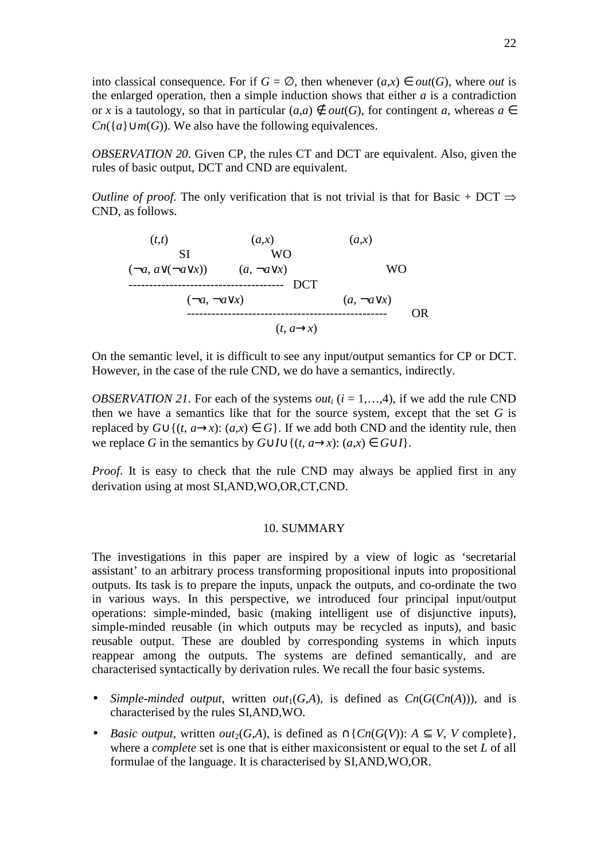into classical consequence. For if  $G = \emptyset$ , then whenever  $(a, x) \in out(G)$ , where *out* is the enlarged operation, then a simple induction shows that either  $a$  is a contradiction or *x* is a tautology, so that in particular  $(a,a) \notin out(G)$ , for contingent *a*, whereas  $a \in$ *Cn*( ${a \cup m(G)}$ ). We also have the following equivalences.

*OBSERVATION 20*. Given CP, the rules CT and DCT are equivalent. Also, given the rules of basic output, DCT and CND are equivalent.

*Outline of proof.* The only verification that is not trivial is that for Basic + DCT  $\Rightarrow$ CND, as follows.

$$
(t,t) \t\t (a,x) \t\t (a,x)
$$
\n
$$
(-a, a \vee (-a \vee x)) \t (a, \neg a \vee x) \t\t DCT
$$
\n
$$
(-a, \neg a \vee x) \t\t (a, \neg a \vee x)
$$
\n
$$
...
$$
\n
$$
(t, a \rightarrow x)
$$
\nOR

On the semantic level, it is difficult to see any input/output semantics for CP or DCT. However, in the case of the rule CND, we do have a semantics, indirectly.

*OBSERVATION 21*. For each of the systems *out<sub>i</sub>* ( $i = 1, \ldots, 4$ ), if we add the rule CND then we have a semantics like that for the source system, except that the set *G* is replaced by  $G \cup \{(t, a \rightarrow x): (a,x) \in G\}$ . If we add both CND and the identity rule, then we replace *G* in the semantics by  $G \cup I \cup \{(t, a \rightarrow x): (a, x) \in G \cup I\}$ .

*Proof.* It is easy to check that the rule CND may always be applied first in any derivation using at most SI,AND,WO,OR,CT,CND.

#### 10. SUMMARY

The investigations in this paper are inspired by a view of logic as 'secretarial assistant' to an arbitrary process transforming propositional inputs into propositional outputs. Its task is to prepare the inputs, unpack the outputs, and co-ordinate the two in various ways. In this perspective, we introduced four principal input/output operations: simple-minded, basic (making intelligent use of disjunctive inputs), simple-minded reusable (in which outputs may be recycled as inputs), and basic reusable output. These are doubled by corresponding systems in which inputs reappear among the outputs. The systems are defined semantically, and are characterised syntactically by derivation rules. We recall the four basic systems.

- *Simple-minded output*, written  $out_1(G,A)$ , is defined as  $Cn(G(Cn(A)))$ , and is characterised by the rules SI,AND,WO.
- *Basic output, written <i>out*<sub>2</sub>(*G,A*), is defined as  $\cap$ {*Cn*(*G*(*V*)): *A*  $\subset$  *V, V* complete}, where a *complete* set is one that is either maxiconsistent or equal to the set *L* of all formulae of the language. It is characterised by SI,AND,WO,OR.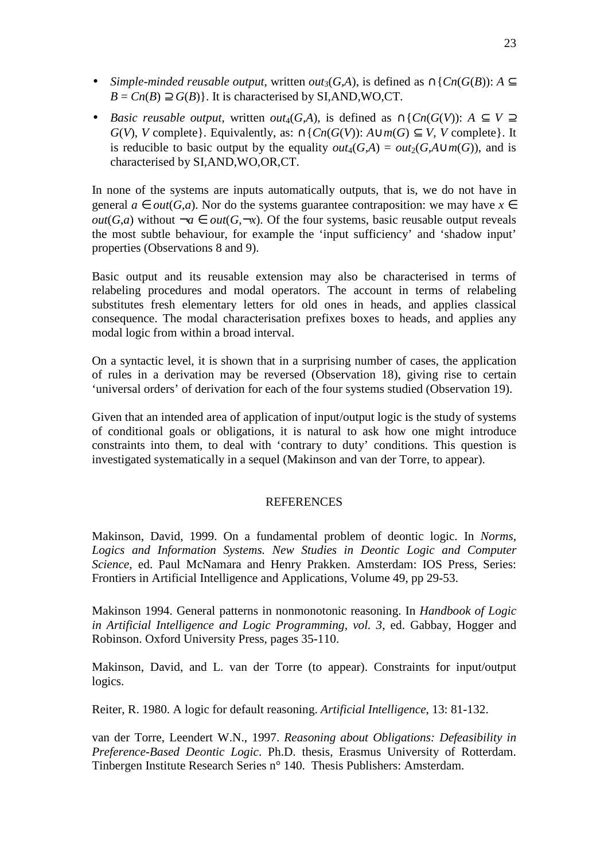- *Simple-minded reusable output*, written *out*<sub>3</sub>(*G,A*), is defined as  $\cap$ { $Cn(G(B))$ :  $A \subseteq$  $B = Cn(B) \supseteq G(B)$ . It is characterised by SI,AND,WO,CT.
- *Basic reusable output*, written *out*<sub>4</sub>(*G,A*), is defined as  $\cap$ {*Cn*(*G*(*V*)): *A*  $\subseteq$  *V*  $\supset$ *G*(*V*), *V* complete}. Equivalently, as: ∩{*Cn*(*G*(*V*)): *A*∪*m*(*G*) ⊆ *V*, *V* complete}. It is reducible to basic output by the equality  $out_4(G,A) = out_2(G,A\cup m(G))$ , and is characterised by SI,AND,WO,OR,CT.

In none of the systems are inputs automatically outputs, that is, we do not have in general  $a \in out(G,a)$ . Nor do the systems guarantee contraposition: we may have  $x \in$ *out*(*G*,*a*) without  $\neg a \in out(G, \neg x)$ . Of the four systems, basic reusable output reveals the most subtle behaviour, for example the 'input sufficiency' and 'shadow input' properties (Observations 8 and 9).

Basic output and its reusable extension may also be characterised in terms of relabeling procedures and modal operators. The account in terms of relabeling substitutes fresh elementary letters for old ones in heads, and applies classical consequence. The modal characterisation prefixes boxes to heads, and applies any modal logic from within a broad interval.

On a syntactic level, it is shown that in a surprising number of cases, the application of rules in a derivation may be reversed (Observation 18), giving rise to certain 'universal orders' of derivation for each of the four systems studied (Observation 19).

Given that an intended area of application of input/output logic is the study of systems of conditional goals or obligations, it is natural to ask how one might introduce constraints into them, to deal with 'contrary to duty' conditions. This question is investigated systematically in a sequel (Makinson and van der Torre, to appear).

## **REFERENCES**

Makinson, David, 1999. On a fundamental problem of deontic logic. In *Norms,*  Logics and Information Systems. New Studies in Deontic Logic and Computer *Science*, ed. Paul McNamara and Henry Prakken. Amsterdam: IOS Press, Series: Frontiers in Artificial Intelligence and Applications, Volume 49, pp 29-53.

Makinson 1994. General patterns in nonmonotonic reasoning. In *Handbook of Logic in Artificial Intelligence and Logic Programming, vol. 3*, ed. Gabbay, Hogger and Robinson. Oxford University Press, pages 35-110.

Makinson, David, and L. van der Torre (to appear). Constraints for input/output logics.

Reiter, R. 1980. A logic for default reasoning. *Artificial Intelligence*, 13: 81-132.

van der Torre, Leendert W.N., 1997. *Reasoning about Obligations: Defeasibility in Preference-Based Deontic Logic*. Ph.D. thesis, Erasmus University of Rotterdam. Tinbergen Institute Research Series n° 140. Thesis Publishers: Amsterdam.